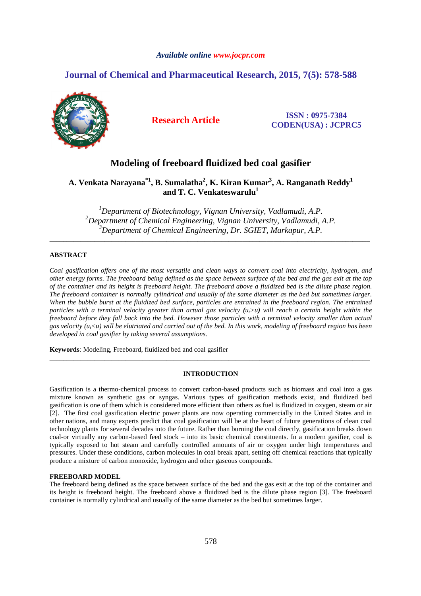# *Available online www.jocpr.com*

# **Journal of Chemical and Pharmaceutical Research, 2015, 7(5): 578-588**



**Research Article ISSN : 0975-7384 CODEN(USA) : JCPRC5**

# **Modeling of freeboard fluidized bed coal gasifier**

**A. Venkata Narayana\*1, B. Sumalatha<sup>2</sup> , K. Kiran Kumar<sup>3</sup> , A. Ranganath Reddy<sup>1</sup> and T. C. Venkateswarulu<sup>1</sup>**

*<sup>1</sup>Department of Biotechnology, Vignan University, Vadlamudi, A.P. <sup>2</sup>Department of Chemical Engineering, Vignan University, Vadlamudi, A.P. <sup>3</sup>Department of Chemical Engineering, Dr. SGIET, Markapur, A.P.* 

\_\_\_\_\_\_\_\_\_\_\_\_\_\_\_\_\_\_\_\_\_\_\_\_\_\_\_\_\_\_\_\_\_\_\_\_\_\_\_\_\_\_\_\_\_\_\_\_\_\_\_\_\_\_\_\_\_\_\_\_\_\_\_\_\_\_\_\_\_\_\_\_\_\_\_\_\_\_\_\_\_\_\_\_\_\_\_\_\_\_\_\_\_

# **ABSTRACT**

*Coal gasification offers one of the most versatile and clean ways to convert coal into electricity, hydrogen, and other energy forms. The freeboard being defined as the space between surface of the bed and the gas exit at the top of the container and its height is freeboard height. The freeboard above a fluidized bed is the dilute phase region. The freeboard container is normally cylindrical and usually of the same diameter as the bed but sometimes larger. When the bubble burst at the fluidized bed surface, particles are entrained in the freeboard region. The entrained particles with a terminal velocity greater than actual gas velocity*  $(u,>u)$  *will reach a certain height within the freeboard before they fall back into the bed. However those particles with a terminal velocity smaller than actual gas velocity (ut<u) will be elutriated and carried out of the bed. In this work, modeling of freeboard region has been developed in coal gasifier by taking several assumptions.* 

**Keywords**: Modeling, Freeboard, fluidized bed and coal gasifier

# **INTRODUCTION**

\_\_\_\_\_\_\_\_\_\_\_\_\_\_\_\_\_\_\_\_\_\_\_\_\_\_\_\_\_\_\_\_\_\_\_\_\_\_\_\_\_\_\_\_\_\_\_\_\_\_\_\_\_\_\_\_\_\_\_\_\_\_\_\_\_\_\_\_\_\_\_\_\_\_\_\_\_\_\_\_\_\_\_\_\_\_\_\_\_\_\_\_\_

Gasification is a thermo-chemical process to convert carbon-based products such as biomass and coal into a gas mixture known as synthetic gas or syngas. Various types of gasification methods exist, and fluidized bed gasification is one of them which is considered more efficient than others as fuel is fluidized in oxygen, steam or air [2]. The first coal gasification electric power plants are now operating commercially in the United States and in other nations, and many experts predict that coal gasification will be at the heart of future generations of clean coal technology plants for several decades into the future. Rather than burning the coal directly, gasification breaks down coal-or virtually any carbon-based feed stock – into its basic chemical constituents. In a modern gasifier, coal is typically exposed to hot steam and carefully controlled amounts of air or oxygen under high temperatures and pressures. Under these conditions, carbon molecules in coal break apart, setting off chemical reactions that typically produce a mixture of carbon monoxide, hydrogen and other gaseous compounds.

## **FREEBOARD MODEL**

The freeboard being defined as the space between surface of the bed and the gas exit at the top of the container and its height is freeboard height. The freeboard above a fluidized bed is the dilute phase region [3]. The freeboard container is normally cylindrical and usually of the same diameter as the bed but sometimes larger.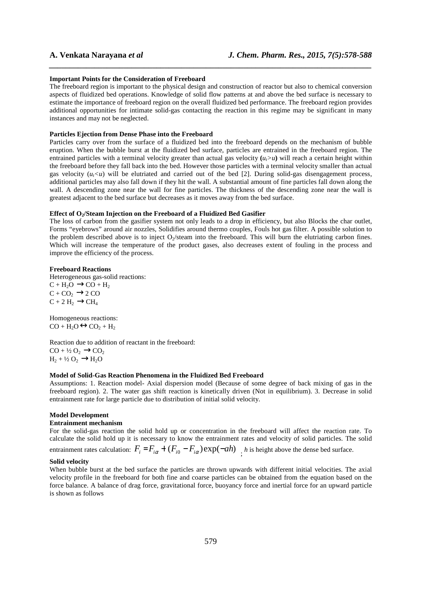### **Important Points for the Consideration of Freeboard**

The freeboard region is important to the physical design and construction of reactor but also to chemical conversion aspects of fluidized bed operations. Knowledge of solid flow patterns at and above the bed surface is necessary to estimate the importance of freeboard region on the overall fluidized bed performance. The freeboard region provides additional opportunities for intimate solid-gas contacting the reaction in this regime may be significant in many instances and may not be neglected.

*\_\_\_\_\_\_\_\_\_\_\_\_\_\_\_\_\_\_\_\_\_\_\_\_\_\_\_\_\_\_\_\_\_\_\_\_\_\_\_\_\_\_\_\_\_\_\_\_\_\_\_\_\_\_\_\_\_\_\_\_\_\_\_\_\_\_\_\_\_\_\_\_\_\_\_\_\_\_*

### **Particles Ejection from Dense Phase into the Freeboard**

Particles carry over from the surface of a fluidized bed into the freeboard depends on the mechanism of bubble eruption. When the bubble burst at the fluidized bed surface, particles are entrained in the freeboard region. The entrained particles with a terminal velocity greater than actual gas velocity  $(u_i > u)$  will reach a certain height within the freeboard before they fall back into the bed. However those particles with a terminal velocity smaller than actual gas velocity  $(u_t < u)$  will be elutriated and carried out of the bed [2]. During solid-gas disengagement process, additional particles may also fall down if they hit the wall. A substantial amount of fine particles fall down along the wall. A descending zone near the wall for fine particles. The thickness of the descending zone near the wall is greatest adjacent to the bed surface but decreases as it moves away from the bed surface.

### **Effect of O2/Steam Injection on the Freeboard of a Fluidized Bed Gasifier**

The loss of carbon from the gasifier system not only leads to a drop in efficiency, but also Blocks the char outlet, Forms "eyebrows" around air nozzles, Solidifies around thermo couples, Fouls hot gas filter. A possible solution to the problem described above is to inject  $O_2$ /steam into the freeboard. This will burn the elutriating carbon fines. Which will increase the temperature of the product gases, also decreases extent of fouling in the process and improve the efficiency of the process.

### **Freeboard Reactions**

Heterogeneous gas-solid reactions:  $C + H_2O \rightarrow CO + H_2$  $C + CO<sub>2</sub> \rightarrow 2 CO$  $C + 2 H_2 \rightarrow CH_4$ 

Homogeneous reactions:  $CO + H_2O \leftrightarrow CO_2 + H_2$ 

Reaction due to addition of reactant in the freeboard:  $CO + \frac{1}{2}O_2 \rightarrow CO_2$  $H_2 + \frac{1}{2}O_2 \rightarrow H_2O$ 

### **Model of Solid-Gas Reaction Phenomena in the Fluidized Bed Freeboard**

Assumptions: 1. Reaction model- Axial dispersion model (Because of some degree of back mixing of gas in the freeboard region). 2. The water gas shift reaction is kinetically driven (Not in equilibrium). 3. Decrease in solid entrainment rate for large particle due to distribution of initial solid velocity.

### **Model Development**

### **Entrainment mechanism**

For the solid-gas reaction the solid hold up or concentration in the freeboard will affect the reaction rate. To calculate the solid hold up it is necessary to know the entrainment rates and velocity of solid particles. The solid

entrainment rates calculation:  $F_i = F_{i\alpha} + (F_{i0} - F_{i\alpha}) \exp(-\alpha h)$ , *h* is height above the dense bed surface.

### **Solid velocity**

When bubble burst at the bed surface the particles are thrown upwards with different initial velocities. The axial velocity profile in the freeboard for both fine and coarse particles can be obtained from the equation based on the force balance. A balance of drag force, gravitational force, buoyancy force and inertial force for an upward particle is shown as follows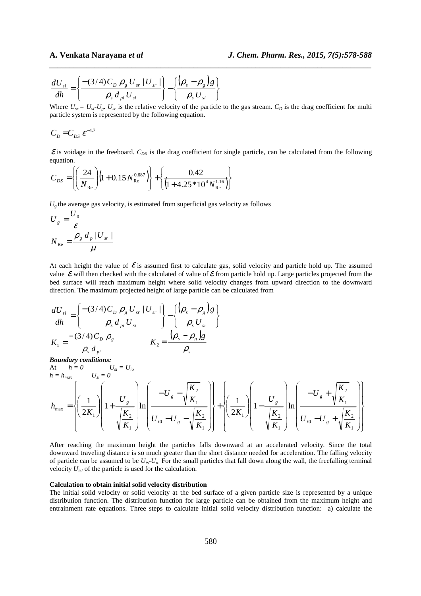$$
\frac{dU_{si}}{dh} = \left\{ \frac{-(3/4)C_D \rho_g U_{sr} |U_{sr}|}{\rho_s d_{pi} U_{si}} \right\} - \left\{ \frac{(\rho_s - \rho_g)g}{\rho_s U_{si}} \right\}
$$

Where  $U_{sr} = U_{sr} U_{\varphi}$ ,  $U_{sr}$  is the relative velocity of the particle to the gas stream.  $C_D$  is the drag coefficient for multi particle system is represented by the following equation.

*\_\_\_\_\_\_\_\_\_\_\_\_\_\_\_\_\_\_\_\_\_\_\_\_\_\_\_\_\_\_\_\_\_\_\_\_\_\_\_\_\_\_\_\_\_\_\_\_\_\_\_\_\_\_\_\_\_\_\_\_\_\_\_\_\_\_\_\_\_\_\_\_\_\_\_\_\_\_*

$$
C_D = C_{DS} \varepsilon^{-4.7}
$$

 $\mathcal E$  is voidage in the freeboard.  $C_{DS}$  is the drag coefficient for single particle, can be calculated from the following equation.

$$
C_{DS} = \left\{ \left( \frac{24}{N_{\text{Re}}} \right) \left( 1 + 0.15 N_{\text{Re}}^{0.687} \right) \right\} + \left\{ \frac{0.42}{\left( 1 + 4.25 * 10^4 N_{\text{Re}}^{1.16} \right)} \right\}
$$

 $U_{\varrho}$  the average gas velocity, is estimated from superficial gas velocity as follows

$$
U_{g} = \frac{U_{0}}{\varepsilon}
$$

$$
N_{\text{Re}} = \frac{\rho_{g} d_{p} |U_{sr}|}{\mu}
$$

At each height the value of  $\mathcal E$  is assumed first to calculate gas, solid velocity and particle hold up. The assumed value  $\mathcal E$  will then checked with the calculated of value of  $\mathcal E$  from particle hold up. Large particles projected from the bed surface will reach maximum height where solid velocity changes from upward direction to the downward direction. The maximum projected height of large particle can be calculated from

$$
\frac{dU_{si}}{dh} = \left\{ \frac{-(3/4)C_D \rho_g U_{sr} |U_{sr}|}{\rho_s d_{pi} U_{si}} \right\} - \left\{ \frac{(\rho_s - \rho_s)g}{\rho_s U_{si}} \right\}
$$
\n
$$
K_1 = \frac{-(3/4)C_D \rho_g}{\rho_s d_{pi}} \qquad K_2 = \frac{(\rho_s - \rho_s)g}{\rho_s}
$$
\nBoundary conditions:  
\nAt  $h = 0$   $U_{si} = 0$   $U_{si} = U_{io}$   
\n $h = h_{max}$   $U_{si} = 0$   
\n
$$
h_{max} = \left\{ \left( \frac{1}{2K_1} \right) \left( 1 + \frac{U_g}{\sqrt{\frac{K_2}{K_1}}} \right) \ln \left( \frac{-U_g - \sqrt{\frac{K_2}{K_1}}}{U_{io} - U_g - \sqrt{\frac{K_2}{K_1}}} \right) \right\} + \left\{ \left( \frac{1}{2K_1} \right) \left( 1 - \frac{U_g}{\sqrt{\frac{K_2}{K_1}}} \right) \ln \left( \frac{-U_g + \sqrt{\frac{K_2}{K_1}}}{U_{io} - U_g + \sqrt{\frac{K_2}{K_1}}} \right) \right\}
$$

After reaching the maximum height the particles falls downward at an accelerated velocity. Since the total downward traveling distance is so much greater than the short distance needed for acceleration. The falling velocity of particle can be assumed to be  $U_{ts}$ - $U_{o}$ . For the small particles that fall down along the wall, the freefalling terminal velocity  $U_{tsi}$  of the particle is used for the calculation.

### **Calculation to obtain initial solid velocity distribution**

The initial solid velocity or solid velocity at the bed surface of a given particle size is represented by a unique distribution function. The distribution function for large particle can be obtained from the maximum height and entrainment rate equations. Three steps to calculate initial solid velocity distribution function: a) calculate the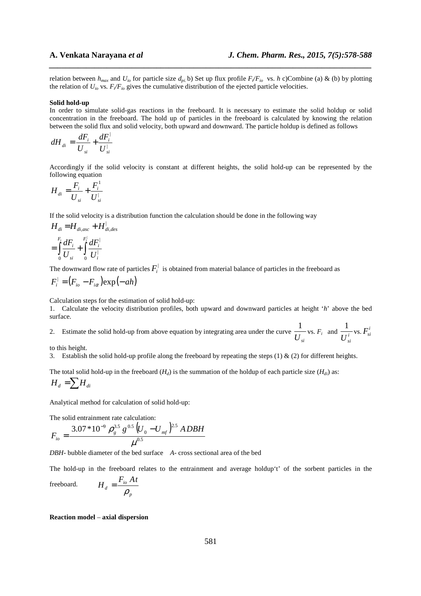relation between  $h_{max}$  and  $U_{io}$  for particle size  $d_{pi}$  b) Set up flux profile  $F/F_{io}$  vs. *h* c)Combine (a) & (b) by plotting the relation of  $U_{io}$  vs.  $F_{i}/F_{io}$  gives the cumulative distribution of the ejected particle velocities.

*\_\_\_\_\_\_\_\_\_\_\_\_\_\_\_\_\_\_\_\_\_\_\_\_\_\_\_\_\_\_\_\_\_\_\_\_\_\_\_\_\_\_\_\_\_\_\_\_\_\_\_\_\_\_\_\_\_\_\_\_\_\_\_\_\_\_\_\_\_\_\_\_\_\_\_\_\_\_*

### **Solid hold-up**

In order to simulate solid-gas reactions in the freeboard. It is necessary to estimate the solid holdup or solid concentration in the freeboard. The hold up of particles in the freeboard is calculated by knowing the relation between the solid flux and solid velocity, both upward and downward. The particle holdup is defined as follows

$$
dH_{di} = \frac{dF_i}{U_{si}} + \frac{dF_i^{\perp}}{U_{si}^{\perp}}
$$

Accordingly if the solid velocity is constant at different heights, the solid hold-up can be represented by the following equation

$$
H_{di} = \frac{F_i}{U_{si}} + \frac{F_i^1}{U_{si}^1}
$$

If the solid velocity is a distribution function the calculation should be done in the following way

$$
H_{di} = H_{di,asc} + H_{di,des}^{\perp}
$$
  
= 
$$
\int_{0}^{F_i} \frac{dF_i}{U_{si}} + \int_{0}^{F_i^{\perp}} \frac{dF_i^{\perp}}{U_i^{\perp}}
$$

The downward flow rate of particles  $F_i^{\dagger}$  is obtained from material balance of particles in the freeboard as

$$
F_i^{\dagger} = (F_{io} - F_{i\alpha}) \exp(-ah)
$$

Calculation steps for the estimation of solid hold-up:

1. Calculate the velocity distribution profiles, both upward and downward particles at height '*h*' above the bed surface.

2. Estimate the solid hold-up from above equation by integrating area under the curve  $\overline{U}_{si}$  $\frac{1}{U_{si}}$  vs.  $F_i$  and  $\frac{1}{U_{si}^i}$  $\frac{1}{\tau i}$  vs.  $F_{si}^i$ 

to this height.

3. Establish the solid hold-up profile along the freeboard by repeating the steps (1) & (2) for different heights.

The total solid hold-up in the freeboard  $(H_d)$  is the summation of the holdup of each particle size  $(H_{di})$  as:

$$
H_d = \sum H_{di}
$$

Analytical method for calculation of solid hold-up:

The solid entrainment rate calculation:

$$
F_{io} = \frac{3.07*10^{-9} \rho_g^{3.5} g^{0.5} (U_0 - U_{mf})^{2.5} ADBH}{\mu^{0.5}}
$$

*p*

*DBH*- bubble diameter of the bed surface *A*- cross sectional area of the bed

The hold-up in the freeboard relates to the entrainment and average holdup't' of the sorbent particles in the

freeboard. 
$$
H_d = \frac{F_{io} At}{\rho_n}
$$

**Reaction model** – **axial dispersion**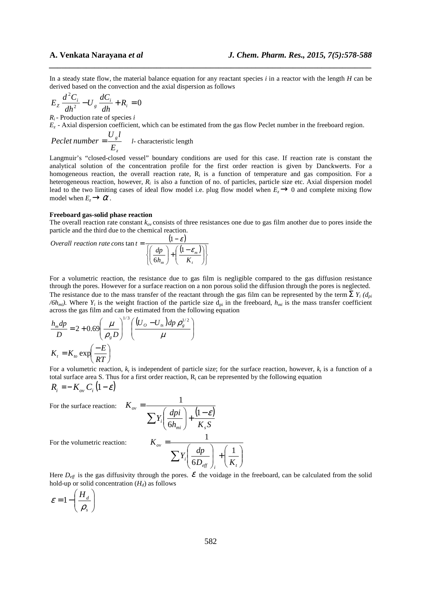In a steady state flow, the material balance equation for any reactant species *i* in a reactor with the length *H* can be derived based on the convection and the axial dispersion as follows

*\_\_\_\_\_\_\_\_\_\_\_\_\_\_\_\_\_\_\_\_\_\_\_\_\_\_\_\_\_\_\_\_\_\_\_\_\_\_\_\_\_\_\_\_\_\_\_\_\_\_\_\_\_\_\_\_\_\_\_\_\_\_\_\_\_\_\_\_\_\_\_\_\_\_\_\_\_\_*

$$
E_z \frac{d^2 C_i}{dh^2} - U_s \frac{dC_i}{dh} + R_i = 0
$$

*Ri*- Production rate of species *i*

*E<sup>z</sup>* - Axial dispersion coefficient, which can be estimated from the gas flow Peclet number in the freeboard region.

*Peclet number* = 
$$
\frac{U_g l}{E_z}
$$
 *l*- characteristic length

Langmuir's "closed-closed vessel" boundary conditions are used for this case. If reaction rate is constant the analytical solution of the concentration profile for the first order reaction is given by Danckwerts. For a homogeneous reaction, the overall reaction rate,  $R_i$  is a function of temperature and gas composition. For a heterogeneous reaction, however,  $R_i$  is also a function of no. of particles, particle size etc. Axial dispersion model lead to the two limiting cases of ideal flow model i.e. plug flow model when  $E<sub>z</sub>\rightarrow 0$  and complete mixing flow model when  $E_z \rightarrow \alpha$ .

### **Freeboard gas-solid phase reaction**

The overall reaction rate constant  $k_{ov}$  consists of three resistances one due to gas film another due to pores inside the particle and the third due to the chemical reaction.

 $(1-\varepsilon)$  $(1-\varepsilon_m)$ J  $\left\{ \right.$ 1  $\overline{\mathcal{L}}$ ₹  $\int$  $\overline{\phantom{a}}$ J  $\backslash$  $\overline{\phantom{a}}$ l ∫(1 –  $|+$ J  $\backslash$  $\overline{\phantom{a}}$ l ſ − *Overall reaction rate cons*  $\tan t =$ *t m h<sup>m</sup> K*  $dp$  |  $(1-\varepsilon)$ ε 1 6 1

For a volumetric reaction, the resistance due to gas film is negligible compared to the gas diffusion resistance through the pores. However for a surface reaction on a non porous solid the diffusion through the pores is neglected. The resistance due to the mass transfer of the reactant through the gas film can be represented by the term  $\sum Y_i (d_{pi}$  $/6h_{mi}$ ). Where  $Y_i$  is the weight fraction of the particle size  $d_{pi}$  in the freeboard,  $h_{mi}$  is the mass transfer coefficient across the gas film and can be estimated from the following equation

$$
\frac{h_m dp}{D} = 2 + 0.69 \left(\frac{\mu}{\rho_s D}\right)^{1/3} \left(\frac{(U_o - U_s) dp \rho_s^{1/2}}{\mu}\right)
$$

$$
K_t = K_{to} \exp\left(\frac{-E}{RT}\right)
$$

For a volumetric reaction,  $k_t$  is independent of particle size; for the surface reaction, however,  $k_t$  is a function of a total surface area S. Thus for a first order reaction,  $R_i$  can be represented by the following equation

$$
R_i = -K_{ov} C_i (1-\varepsilon)
$$

For the surface reaction: 
$$
K_{ov} = \frac{1}{\sum Y_i \left(\frac{dpi}{}{\delta h_{mi}}\right) + \frac{(1 - \varepsilon)}{K_s S}}
$$
  
For the volumetric reaction:  $K_{ov} = \frac{1}{\sum Y_i \left(\frac{dp}{}{\delta D_{eff}}\right)_i + \left(\frac{1}{K_s}\right)^2}$ 

For the volumetric reaction:

Here  $D_{\text{eff}}$  is the gas diffusivity through the pores.  $\mathcal E$  the voidage in the freeboard, can be calculated from the solid hold-up or solid concentration (*Hd*) as follows

 $\overline{\phantom{a}}$  $\overline{\phantom{a}}$ J

*t*

 $\backslash$ 

$$
\varepsilon = 1 - \left(\frac{H_d}{\rho_s}\right)
$$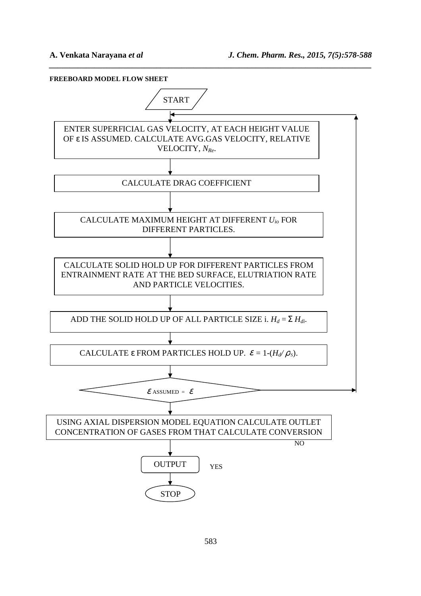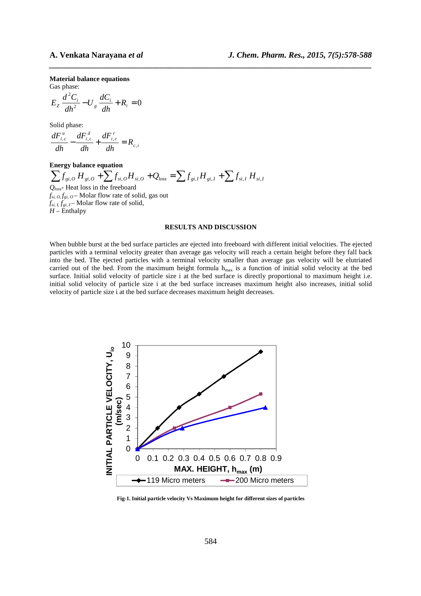**Material balance equations**

Gas phase:

$$
E_z \frac{d^2 C_i}{dh^2} - U_s \frac{dC_i}{dh} + R_i = 0
$$

Solid phase:

$$
\frac{dF_{i,c}^u}{dh} - \frac{dF_{i,c}^d}{dh} + \frac{dF_{i,c}^r}{dh} = R_{c,i}
$$

# **Energy balance equation**

 $\sum f_{gi,O} H_{gi,O} + \sum f_{si,O} H_{si,O} + Q_{loss} = \sum f_{gi,I} H_{gi,I} + \sum f_{si,I} H_{si,I}$ *Qloss*- Heat loss in the freeboard  $f_{si, 0} f_{gi, 0}$  – Molar flow rate of solid, gas out  $f_{si, I}, f_{gi, I} -$  Molar flow rate of solid,  $H$  – Enthalpy

### **RESULTS AND DISCUSSION**

*\_\_\_\_\_\_\_\_\_\_\_\_\_\_\_\_\_\_\_\_\_\_\_\_\_\_\_\_\_\_\_\_\_\_\_\_\_\_\_\_\_\_\_\_\_\_\_\_\_\_\_\_\_\_\_\_\_\_\_\_\_\_\_\_\_\_\_\_\_\_\_\_\_\_\_\_\_\_*

When bubble burst at the bed surface particles are ejected into freeboard with different initial velocities. The ejected particles with a terminal velocity greater than average gas velocity will reach a certain height before they fall back into the bed. The ejected particles with a terminal velocity smaller than average gas velocity will be elutriated carried out of the bed. From the maximum height formula h<sub>max</sub> is a function of initial solid velocity at the bed surface. Initial solid velocity of particle size i at the bed surface is directly proportional to maximum height i.e. initial solid velocity of particle size i at the bed surface increases maximum height also increases, initial solid velocity of particle size i at the bed surface decreases maximum height decreases.



**Fig-1. Initial particle velocity Vs Maximum height for different sizes of particles**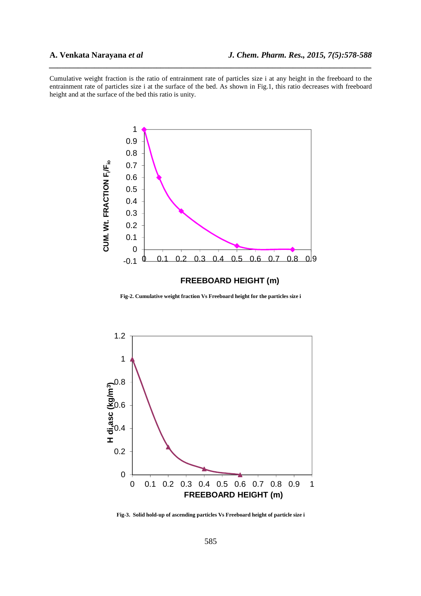Cumulative weight fraction is the ratio of entrainment rate of particles size i at any height in the freeboard to the entrainment rate of particles size i at the surface of the bed. As shown in Fig.1, this ratio decreases with freeboard height and at the surface of the bed this ratio is unity.

*\_\_\_\_\_\_\_\_\_\_\_\_\_\_\_\_\_\_\_\_\_\_\_\_\_\_\_\_\_\_\_\_\_\_\_\_\_\_\_\_\_\_\_\_\_\_\_\_\_\_\_\_\_\_\_\_\_\_\_\_\_\_\_\_\_\_\_\_\_\_\_\_\_\_\_\_\_\_*



**Fig-2. Cumulative weight fraction Vs Freeboard height for the particles size i** 



**Fig-3. Solid hold-up of ascending particles Vs Freeboard height of particle size i**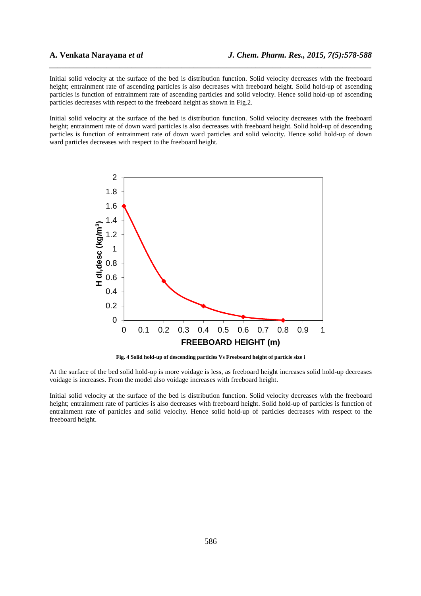Initial solid velocity at the surface of the bed is distribution function. Solid velocity decreases with the freeboard height; entrainment rate of ascending particles is also decreases with freeboard height. Solid hold-up of ascending particles is function of entrainment rate of ascending particles and solid velocity. Hence solid hold-up of ascending particles decreases with respect to the freeboard height as shown in Fig.2.

*\_\_\_\_\_\_\_\_\_\_\_\_\_\_\_\_\_\_\_\_\_\_\_\_\_\_\_\_\_\_\_\_\_\_\_\_\_\_\_\_\_\_\_\_\_\_\_\_\_\_\_\_\_\_\_\_\_\_\_\_\_\_\_\_\_\_\_\_\_\_\_\_\_\_\_\_\_\_*

Initial solid velocity at the surface of the bed is distribution function. Solid velocity decreases with the freeboard height; entrainment rate of down ward particles is also decreases with freeboard height. Solid hold-up of descending particles is function of entrainment rate of down ward particles and solid velocity. Hence solid hold-up of down ward particles decreases with respect to the freeboard height.



**Fig. 4 Solid hold-up of descending particles Vs Freeboard height of particle size i** 

At the surface of the bed solid hold-up is more voidage is less, as freeboard height increases solid hold-up decreases voidage is increases. From the model also voidage increases with freeboard height.

Initial solid velocity at the surface of the bed is distribution function. Solid velocity decreases with the freeboard height; entrainment rate of particles is also decreases with freeboard height. Solid hold-up of particles is function of entrainment rate of particles and solid velocity. Hence solid hold-up of particles decreases with respect to the freeboard height.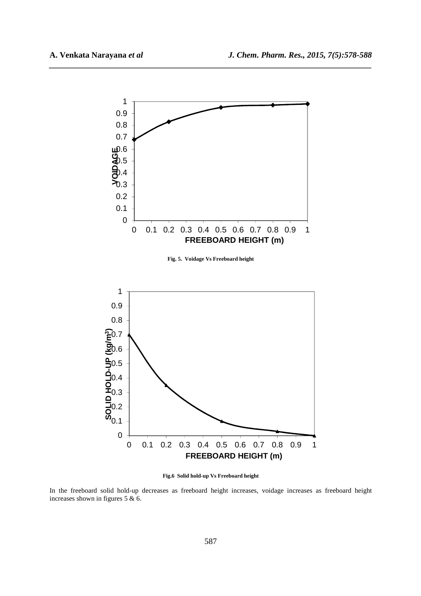

*\_\_\_\_\_\_\_\_\_\_\_\_\_\_\_\_\_\_\_\_\_\_\_\_\_\_\_\_\_\_\_\_\_\_\_\_\_\_\_\_\_\_\_\_\_\_\_\_\_\_\_\_\_\_\_\_\_\_\_\_\_\_\_\_\_\_\_\_\_\_\_\_\_\_\_\_\_\_*

**Fig.6 Solid hold-up Vs Freeboard height** 

0 0.1 0.2 0.3 0.4 0.5 0.6 0.7 0.8 0.9 1

**FREEBOARD HEIGHT (m)**

0

0.1

0.2

0.3

In the freeboard solid hold-up decreases as freeboard height increases, voidage increases as freeboard height increases shown in figures 5 & 6.